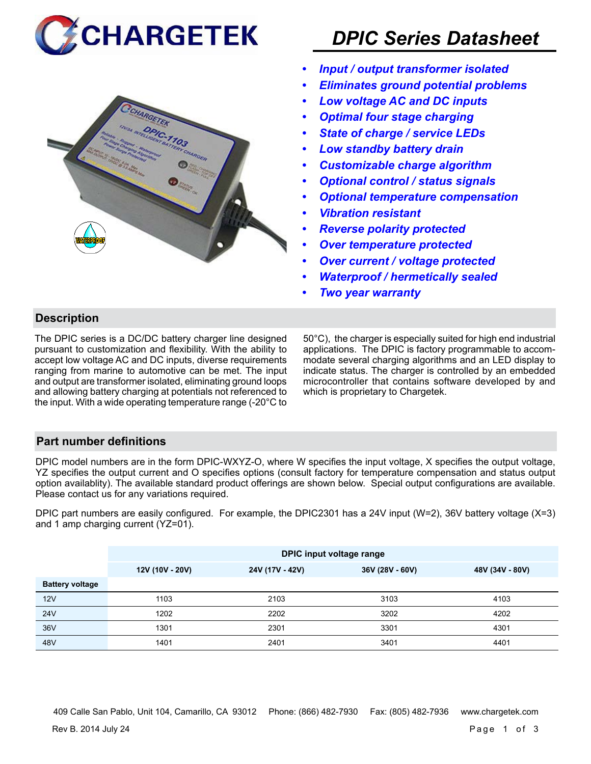



# *DPIC Series Datasheet*

- *• Input / output transformer isolated*
- *• Eliminates ground potential problems*
- *• Low voltage AC and DC inputs*
- *• Optimal four stage charging*
- *• State of charge / service LEDs*
- *• Low standby battery drain*
- *• Customizable charge algorithm*
- *• Optional control / status signals*
- *• Optional temperature compensation*
- *• Vibration resistant*
- *• Reverse polarity protected*
- *• Over temperature protected*
- *• Over current / voltage protected*
- *• Waterproof / hermetically sealed*
- *• Two year warranty*

# **Description**

The DPIC series is a DC/DC battery charger line designed pursuant to customization and flexibility. With the ability to accept low voltage AC and DC inputs, diverse requirements ranging from marine to automotive can be met. The input and output are transformer isolated, eliminating ground loops and allowing battery charging at potentials not referenced to the input. With a wide operating temperature range (-20°C to

50°C), the charger is especially suited for high end industrial applications. The DPIC is factory programmable to accommodate several charging algorithms and an LED display to indicate status. The charger is controlled by an embedded microcontroller that contains software developed by and which is proprietary to Chargetek.

### **Part number definitions**

DPIC model numbers are in the form DPIC-WXYZ-O, where W specifies the input voltage, X specifies the output voltage, YZ specifies the output current and O specifies options (consult factory for temperature compensation and status output option availablity). The available standard product offerings are shown below. Special output configurations are available. Please contact us for any variations required.

DPIC part numbers are easily configured. For example, the DPIC2301 has a 24V input (W=2), 36V battery voltage (X=3) and 1 amp charging current (YZ=01).

|                        | DPIC input voltage range |                 |                                    |      |  |  |
|------------------------|--------------------------|-----------------|------------------------------------|------|--|--|
|                        | 12V (10V - 20V)          | 24V (17V - 42V) | 36V (28V - 60V)<br>48V (34V - 80V) |      |  |  |
| <b>Battery voltage</b> |                          |                 |                                    |      |  |  |
| 12V                    | 1103                     | 2103            | 3103                               | 4103 |  |  |
| <b>24V</b>             | 1202                     | 2202            | 3202                               | 4202 |  |  |
| 36V                    | 1301                     | 2301            | 3301                               | 4301 |  |  |
| 48V                    | 1401                     | 2401            | 3401                               | 4401 |  |  |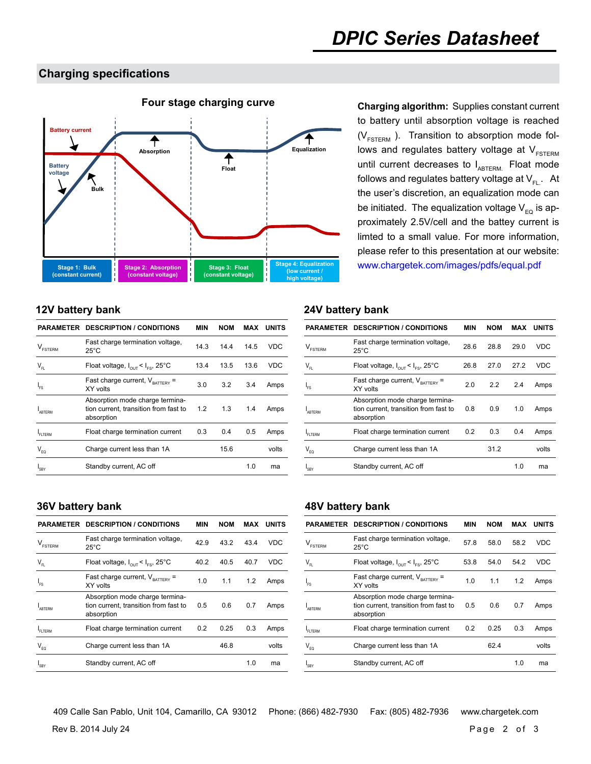### **Charging specifications**



to battery until absorption voltage is reached  $(V_{FSTERN}$ ). Transition to absorption mode follows and regulates battery voltage at  $V_{FSTERM}$ until current decreases to  $I_{ABTERM}$ . Float mode follows and regulates battery voltage at  $V_{F1}$ . At the user's discretion, an equalization mode can be initiated. The equalization voltage  $V_{FQ}$  is approximately 2.5V/cell and the battey current is limted to a small value. For more information, please refer to this presentation at our website: www.chargetek.com/images/pdfs/equal.pdf

| PARAMETER                      | <b>DESCRIPTION / CONDITIONS</b>                                                        | MIN  | <b>NOM</b> | MAX  | <b>UNITS</b> |
|--------------------------------|----------------------------------------------------------------------------------------|------|------------|------|--------------|
| $\mathsf{V}_{\texttt{FSTERM}}$ | Fast charge termination voltage,<br>$25^{\circ}$ C                                     | 14.3 | 14.4       | 14.5 | <b>VDC</b>   |
| $\mathsf{V}_{\mathsf{FL}}$     | Float voltage, $I_{\text{out}} < I_{\text{ES}}$ , 25°C                                 | 13.4 | 13.5       | 13.6 | VDC          |
| $I_{FS}$                       | Fast charge current, $V_{\text{partrev}} =$<br>XY volts                                | 3.0  | 3.2        | 3.4  | Amps         |
| <b>ABTERM</b>                  | Absorption mode charge termina-<br>tion current, transition from fast to<br>absorption | 1.2  | 1.3        | 1.4  | Amps         |
| <b>FLTERM</b>                  | Float charge termination current                                                       | 0.3  | 0.4        | 0.5  | Amps         |
| $V_{EQ}$                       | Charge current less than 1A                                                            |      | 15.6       |      | volts        |
| $I_{SRY}$                      | Standby current, AC off                                                                |      |            | 1.0  | ma           |
|                                |                                                                                        |      |            |      |              |

### **12V battery bank 24V battery bank**

|                                    | <b>PARAMETER DESCRIPTION / CONDITIONS</b>                                              | MIN  | <b>NOM</b> | MAX  | <b>UNITS</b> |
|------------------------------------|----------------------------------------------------------------------------------------|------|------------|------|--------------|
| $\mathsf{V}_{\text{\tiny FSTERM}}$ | Fast charge termination voltage,<br>$25^{\circ}$ C                                     | 28.6 | 28.8       | 29.0 | VDC          |
| $\mathsf{V}_{\mathsf{FL}}$         | Float voltage, $I_{\text{out}} < I_{\text{es}}$ , 25°C                                 | 26.8 | 27.0       | 27.2 | VDC          |
| ı.                                 | Fast charge current, $V_{\text{raffers}}$ =<br>XY volts                                | 2.0  | 2.2        | 2.4  | Amps         |
| ARTFRM                             | Absorption mode charge termina-<br>tion current, transition from fast to<br>absorption | 0.8  | 0.9        | 1.0  | Amps         |
| FI TFRM                            | Float charge termination current                                                       | 0.2  | 0.3        | 0.4  | Amps         |
| $V_{EQ}$                           | Charge current less than 1A                                                            |      | 31.2       |      | volts        |
| I <sub>SBY</sub>                   | Standby current, AC off                                                                |      |            | 1.0  | ma           |

|                                | <b>PARAMETER DESCRIPTION / CONDITIONS</b>                                              | MIN  | <b>NOM</b> | MAX  | <b>UNITS</b> |
|--------------------------------|----------------------------------------------------------------------------------------|------|------------|------|--------------|
| $\mathsf{V}_{\texttt{FSTERN}}$ | Fast charge termination voltage,<br>$25^{\circ}$ C                                     | 42.9 | 43.2       | 43.4 | <b>VDC</b>   |
| $V_{\text{FI}}$                | Float voltage, $I_{\text{out}} < I_{\text{es}}$ , 25°C                                 | 40.2 | 40.5       | 40.7 | <b>VDC</b>   |
| 'FS                            | Fast charge current, $V_{\text{BATTRY}}$ =<br>XY volts                                 | 1.0  | 1.1        | 1.2  | Amps         |
| ARTFRM                         | Absorption mode charge termina-<br>tion current, transition from fast to<br>absorption | 0.5  | 0.6        | 0.7  | Amps         |
| FITERM                         | Float charge termination current                                                       | 0.2  | 0.25       | 0.3  | Amps         |
| $V_{FQ}$                       | Charge current less than 1A                                                            |      | 46.8       |      | volts        |
| <sup>I</sup> SBY               | Standby current, AC off                                                                |      |            | 1.0  | ma           |

### **36V battery bank 48V battery bank**

|                                | <b>PARAMETER DESCRIPTION / CONDITIONS</b>                                              | MIN  | <b>NOM</b> | MAX  | <b>UNITS</b> |
|--------------------------------|----------------------------------------------------------------------------------------|------|------------|------|--------------|
| $\mathsf{V}_{\texttt{FSTERN}}$ | Fast charge termination voltage,<br>$25^{\circ}$ C                                     | 57.8 | 58.0       | 58.2 | VDC          |
| $\mathsf{V}_{\mathsf{FL}}$     | Float voltage, $I_{\text{out}} < I_{\text{es}}$ , 25°C                                 | 53.8 | 54.0       | 54.2 | VDC          |
| 'FS                            | Fast charge current, $V_{\text{BATTERY}} =$<br>XY volts                                | 1.0  | 1.1        | 1.2  | Amps         |
| ARTFRM                         | Absorption mode charge termina-<br>tion current, transition from fast to<br>absorption | 0.5  | 0.6        | 0.7  | Amps         |
| FI TFRM                        | Float charge termination current                                                       | 0.2  | 0.25       | 0.3  | Amps         |
| $V_{FQ}$                       | Charge current less than 1A                                                            |      | 62.4       |      | volts        |
| 'SBY                           | Standby current, AC off                                                                |      |            | 1.0  | ma           |

Rev B. 2014 July 24 **Page 2 of 3** 409 Calle San Pablo, Unit 104, Camarillo, CA 93012 Phone: (866) 482-7930 Fax: (805) 482-7936 www.chargetek.com